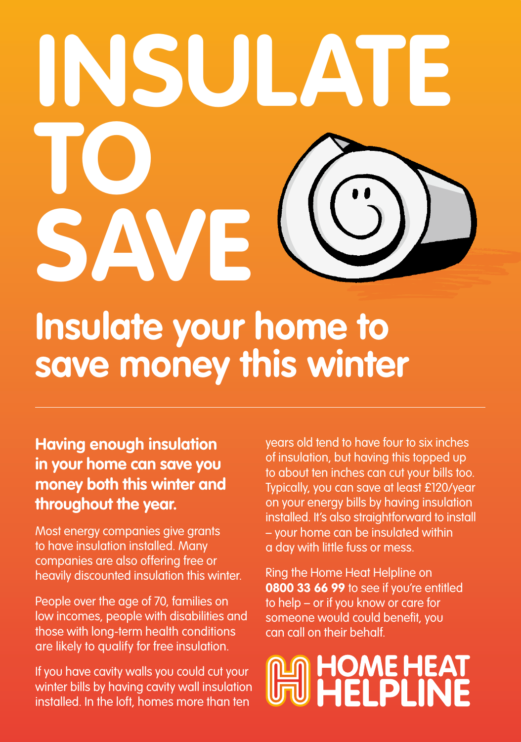## **Insulate your home to INSULATE TO SAVE**

#### **save money this winter**

**Having enough insulation in your home can save you money both this winter and throughout the year.**

Most energy companies give grants to have insulation installed. Many companies are also offering free or heavily discounted insulation this winter.

People over the age of 70, families on low incomes, people with disabilities and those with long-term health conditions are likely to qualify for free insulation.

If you have cavity walls you could cut your winter bills by having cavity wall insulation installed. In the loft, homes more than ten

years old tend to have four to six inches of insulation, but having this topped up to about ten inches can cut your bills too. Typically, you can save at least £120/year on your energy bills by having insulation installed. It's also straightforward to install – your home can be insulated within a day with little fuss or mess.

Ring the Home Heat Helpline on **0800 33 66 99** to see if you're entitled to help – or if you know or care for someone would could benefit, you can call on their behalf.

### **AS HOME HEAT**